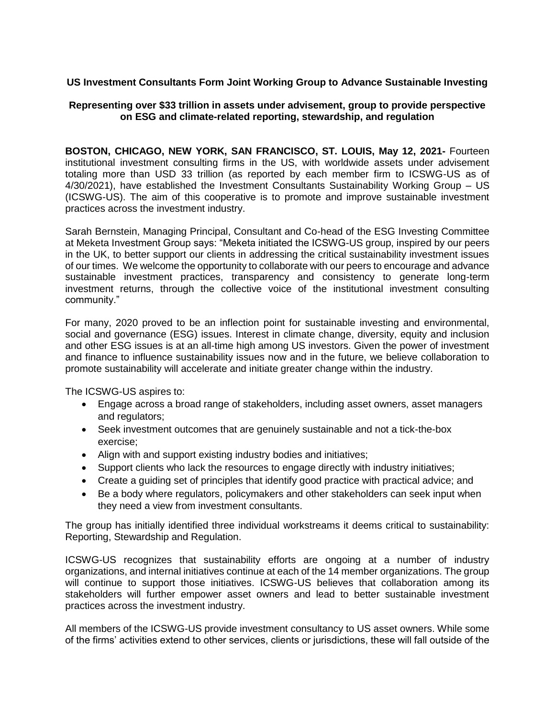## **US Investment Consultants Form Joint Working Group to Advance Sustainable Investing**

## **Representing over \$33 trillion in assets under advisement, group to provide perspective on ESG and climate-related reporting, stewardship, and regulation**

**BOSTON, CHICAGO, NEW YORK, SAN FRANCISCO, ST. LOUIS, May 12, 2021-** Fourteen institutional investment consulting firms in the US, with worldwide assets under advisement totaling more than USD 33 trillion (as reported by each member firm to ICSWG-US as of 4/30/2021), have established the Investment Consultants Sustainability Working Group – US (ICSWG-US). The aim of this cooperative is to promote and improve sustainable investment practices across the investment industry.

Sarah Bernstein, Managing Principal, Consultant and Co-head of the ESG Investing Committee at Meketa Investment Group says: "Meketa initiated the ICSWG-US group, inspired by our peers in the UK, to better support our clients in addressing the critical sustainability investment issues of our times. We welcome the opportunity to collaborate with our peers to encourage and advance sustainable investment practices, transparency and consistency to generate long-term investment returns, through the collective voice of the institutional investment consulting community."

For many, 2020 proved to be an inflection point for sustainable investing and environmental, social and governance (ESG) issues. Interest in climate change, diversity, equity and inclusion and other ESG issues is at an all-time high among US investors. Given the power of investment and finance to influence sustainability issues now and in the future, we believe collaboration to promote sustainability will accelerate and initiate greater change within the industry.

The ICSWG-US aspires to:

- Engage across a broad range of stakeholders, including asset owners, asset managers and regulators;
- Seek investment outcomes that are genuinely sustainable and not a tick-the-box exercise;
- Align with and support existing industry bodies and initiatives;
- Support clients who lack the resources to engage directly with industry initiatives;
- Create a guiding set of principles that identify good practice with practical advice; and
- Be a body where regulators, policymakers and other stakeholders can seek input when they need a view from investment consultants.

The group has initially identified three individual workstreams it deems critical to sustainability: Reporting, Stewardship and Regulation.

ICSWG-US recognizes that sustainability efforts are ongoing at a number of industry organizations, and internal initiatives continue at each of the 14 member organizations. The group will continue to support those initiatives. ICSWG-US believes that collaboration among its stakeholders will further empower asset owners and lead to better sustainable investment practices across the investment industry.

All members of the ICSWG-US provide investment consultancy to US asset owners. While some of the firms' activities extend to other services, clients or jurisdictions, these will fall outside of the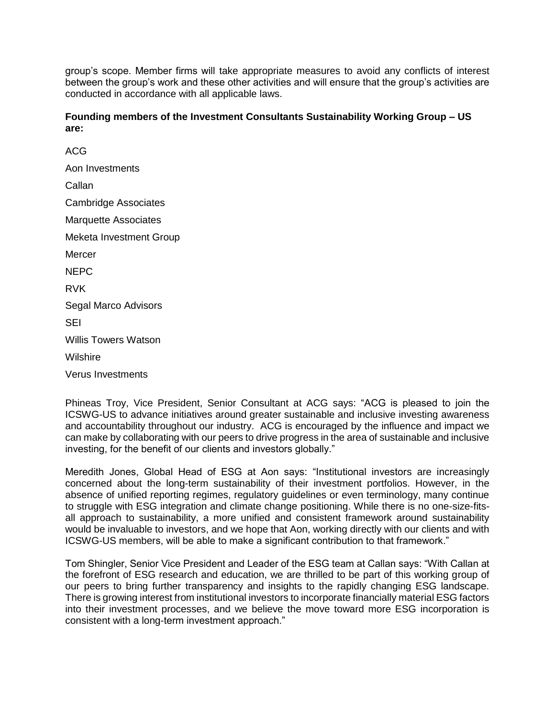group's scope. Member firms will take appropriate measures to avoid any conflicts of interest between the group's work and these other activities and will ensure that the group's activities are conducted in accordance with all applicable laws.

**Founding members of the Investment Consultants Sustainability Working Group – US are:**

ACG Aon Investments Callan Cambridge Associates Marquette Associates Meketa Investment Group **Mercer** NEPC RVK Segal Marco Advisors SEI Willis Towers Watson Wilshire

Verus Investments

Phineas Troy, Vice President, Senior Consultant at ACG says: "ACG is pleased to join the ICSWG-US to advance initiatives around greater sustainable and inclusive investing awareness and accountability throughout our industry. ACG is encouraged by the influence and impact we can make by collaborating with our peers to drive progress in the area of sustainable and inclusive investing, for the benefit of our clients and investors globally."

Meredith Jones, Global Head of ESG at Aon says: "Institutional investors are increasingly concerned about the long-term sustainability of their investment portfolios. However, in the absence of unified reporting regimes, regulatory guidelines or even terminology, many continue to struggle with ESG integration and climate change positioning. While there is no one-size-fitsall approach to sustainability, a more unified and consistent framework around sustainability would be invaluable to investors, and we hope that Aon, working directly with our clients and with ICSWG-US members, will be able to make a significant contribution to that framework."

Tom Shingler, Senior Vice President and Leader of the ESG team at Callan says: "With Callan at the forefront of ESG research and education, we are thrilled to be part of this working group of our peers to bring further transparency and insights to the rapidly changing ESG landscape. There is growing interest from institutional investors to incorporate financially material ESG factors into their investment processes, and we believe the move toward more ESG incorporation is consistent with a long-term investment approach."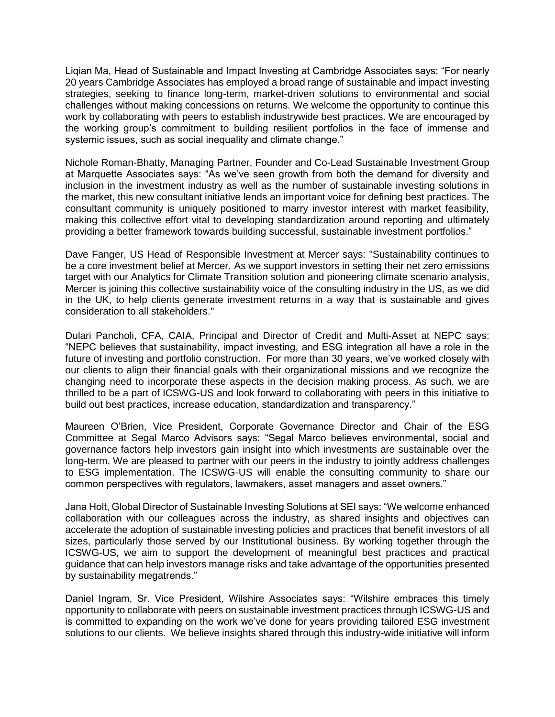Liqian Ma, Head of Sustainable and Impact Investing at Cambridge Associates says: "For nearly 20 years Cambridge Associates has employed a broad range of sustainable and impact investing strategies, seeking to finance long-term, market-driven solutions to environmental and social challenges without making concessions on returns. We welcome the opportunity to continue this work by collaborating with peers to establish industrywide best practices. We are encouraged by the working group's commitment to building resilient portfolios in the face of immense and systemic issues, such as social inequality and climate change."

Nichole Roman-Bhatty, Managing Partner, Founder and Co-Lead Sustainable Investment Group at Marquette Associates says: "As we've seen growth from both the demand for diversity and inclusion in the investment industry as well as the number of sustainable investing solutions in the market, this new consultant initiative lends an important voice for defining best practices. The consultant community is uniquely positioned to marry investor interest with market feasibility, making this collective effort vital to developing standardization around reporting and ultimately providing a better framework towards building successful, sustainable investment portfolios."

Dave Fanger, US Head of Responsible Investment at Mercer says: "Sustainability continues to be a core investment belief at Mercer. As we support investors in setting their net zero emissions target with our Analytics for Climate Transition solution and pioneering climate scenario analysis, Mercer is joining this collective sustainability voice of the consulting industry in the US, as we did in the UK, to help clients generate investment returns in a way that is sustainable and gives consideration to all stakeholders."

Dulari Pancholi, CFA, CAIA, Principal and Director of Credit and Multi-Asset at NEPC says: "NEPC believes that sustainability, impact investing, and ESG integration all have a role in the future of investing and portfolio construction. For more than 30 years, we've worked closely with our clients to align their financial goals with their organizational missions and we recognize the changing need to incorporate these aspects in the decision making process. As such, we are thrilled to be a part of ICSWG-US and look forward to collaborating with peers in this initiative to build out best practices, increase education, standardization and transparency."

Maureen O'Brien, Vice President, Corporate Governance Director and Chair of the ESG Committee at Segal Marco Advisors says: "Segal Marco believes environmental, social and governance factors help investors gain insight into which investments are sustainable over the long-term. We are pleased to partner with our peers in the industry to jointly address challenges to ESG implementation. The ICSWG-US will enable the consulting community to share our common perspectives with regulators, lawmakers, asset managers and asset owners."

Jana Holt, Global Director of Sustainable Investing Solutions at SEI says: "We welcome enhanced collaboration with our colleagues across the industry, as shared insights and objectives can accelerate the adoption of sustainable investing policies and practices that benefit investors of all sizes, particularly those served by our Institutional business. By working together through the ICSWG-US, we aim to support the development of meaningful best practices and practical guidance that can help investors manage risks and take advantage of the opportunities presented by sustainability megatrends."

Daniel Ingram, Sr. Vice President, Wilshire Associates says: "Wilshire embraces this timely opportunity to collaborate with peers on sustainable investment practices through ICSWG-US and is committed to expanding on the work we've done for years providing tailored ESG investment solutions to our clients. We believe insights shared through this industry-wide initiative will inform